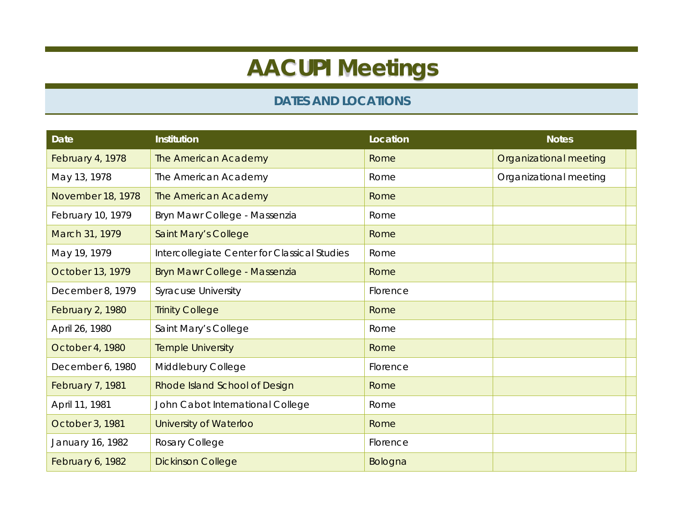## **AACUPI Meetings**

## **DATES AND LOCATIONS**

| <b>Date</b>       | <b>Institution</b>                           | Location | <b>Notes</b>           |
|-------------------|----------------------------------------------|----------|------------------------|
| February 4, 1978  | The American Academy                         | Rome     | Organizational meeting |
| May 13, 1978      | The American Academy                         | Rome     | Organizational meeting |
| November 18, 1978 | The American Academy                         | Rome     |                        |
| February 10, 1979 | Bryn Mawr College - Massenzia                | Rome     |                        |
| March 31, 1979    | <b>Saint Mary's College</b>                  | Rome     |                        |
| May 19, 1979      | Intercollegiate Center for Classical Studies | Rome     |                        |
| October 13, 1979  | Bryn Mawr College - Massenzia                | Rome     |                        |
| December 8, 1979  | <b>Syracuse University</b>                   | Florence |                        |
| February 2, 1980  | <b>Trinity College</b>                       | Rome     |                        |
| April 26, 1980    | Saint Mary's College                         | Rome     |                        |
| October 4, 1980   | <b>Temple University</b>                     | Rome     |                        |
| December 6, 1980  | Middlebury College                           | Florence |                        |
| February 7, 1981  | Rhode Island School of Design                | Rome     |                        |
| April 11, 1981    | John Cabot International College             | Rome     |                        |
| October 3, 1981   | University of Waterloo                       | Rome     |                        |
| January 16, 1982  | Rosary College                               | Florence |                        |
| February 6, 1982  | <b>Dickinson College</b>                     | Bologna  |                        |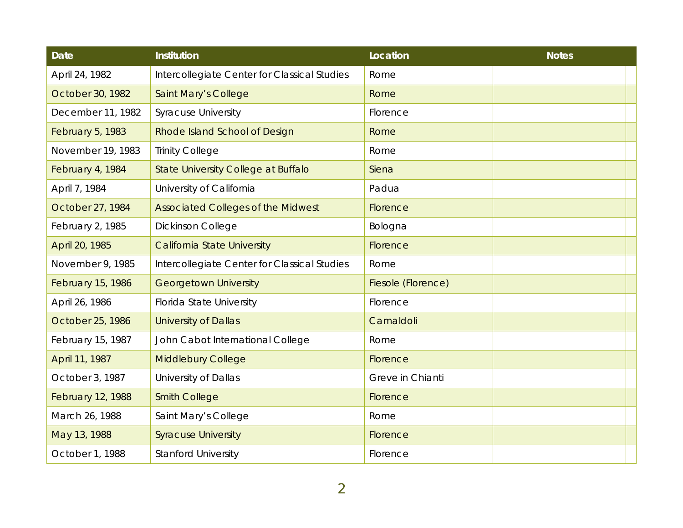| <b>Date</b>              | <b>Institution</b>                           | Location           | <b>Notes</b> |
|--------------------------|----------------------------------------------|--------------------|--------------|
| April 24, 1982           | Intercollegiate Center for Classical Studies | Rome               |              |
| October 30, 1982         | Saint Mary's College                         | Rome               |              |
| December 11, 1982        | <b>Syracuse University</b>                   | Florence           |              |
| <b>February 5, 1983</b>  | Rhode Island School of Design                | Rome               |              |
| November 19, 1983        | <b>Trinity College</b>                       | Rome               |              |
| February 4, 1984         | State University College at Buffalo          | Siena              |              |
| April 7, 1984            | University of California                     | Padua              |              |
| October 27, 1984         | <b>Associated Colleges of the Midwest</b>    | Florence           |              |
| February 2, 1985         | Dickinson College                            | Bologna            |              |
| April 20, 1985           | <b>California State University</b>           | Florence           |              |
| November 9, 1985         | Intercollegiate Center for Classical Studies | Rome               |              |
| <b>February 15, 1986</b> | <b>Georgetown University</b>                 | Fiesole (Florence) |              |
| April 26, 1986           | Florida State University                     | Florence           |              |
| October 25, 1986         | <b>University of Dallas</b>                  | Camaldoli          |              |
| February 15, 1987        | John Cabot International College             | Rome               |              |
| April 11, 1987           | <b>Middlebury College</b>                    | Florence           |              |
| October 3, 1987          | University of Dallas                         | Greve in Chianti   |              |
| <b>February 12, 1988</b> | <b>Smith College</b>                         | Florence           |              |
| March 26, 1988           | Saint Mary's College                         | Rome               |              |
| May 13, 1988             | <b>Syracuse University</b>                   | Florence           |              |
| October 1, 1988          | <b>Stanford University</b>                   | Florence           |              |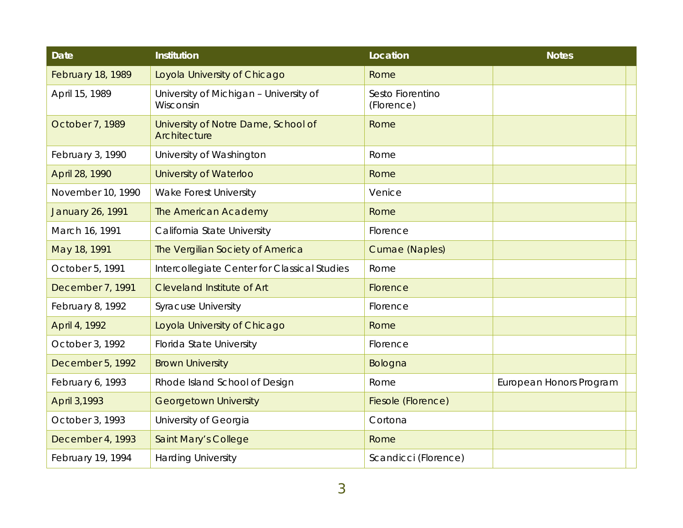| <b>Date</b>              | <b>Institution</b>                                  | Location                       | <b>Notes</b>            |
|--------------------------|-----------------------------------------------------|--------------------------------|-------------------------|
| <b>February 18, 1989</b> | Loyola University of Chicago                        | Rome                           |                         |
| April 15, 1989           | University of Michigan - University of<br>Wisconsin | Sesto Fiorentino<br>(Florence) |                         |
| October 7, 1989          | University of Notre Dame, School of<br>Architecture | Rome                           |                         |
| February 3, 1990         | University of Washington                            | Rome                           |                         |
| April 28, 1990           | University of Waterloo                              | Rome                           |                         |
| November 10, 1990        | Wake Forest University                              | Venice                         |                         |
| <b>January 26, 1991</b>  | The American Academy                                | Rome                           |                         |
| March 16, 1991           | California State University                         | Florence                       |                         |
| May 18, 1991             | The Vergilian Society of America                    | Cumae (Naples)                 |                         |
| October 5, 1991          | Intercollegiate Center for Classical Studies        | Rome                           |                         |
| December 7, 1991         | <b>Cleveland Institute of Art</b>                   | Florence                       |                         |
| February 8, 1992         | <b>Syracuse University</b>                          | Florence                       |                         |
| April 4, 1992            | Loyola University of Chicago                        | Rome                           |                         |
| October 3, 1992          | Florida State University                            | Florence                       |                         |
| December 5, 1992         | <b>Brown University</b>                             | Bologna                        |                         |
| February 6, 1993         | Rhode Island School of Design                       | Rome                           | European Honors Program |
| April 3,1993             | <b>Georgetown University</b>                        | Fiesole (Florence)             |                         |
| October 3, 1993          | University of Georgia                               | Cortona                        |                         |
| December 4, 1993         | Saint Mary's College                                | Rome                           |                         |
| February 19, 1994        | <b>Harding University</b>                           | Scandicci (Florence)           |                         |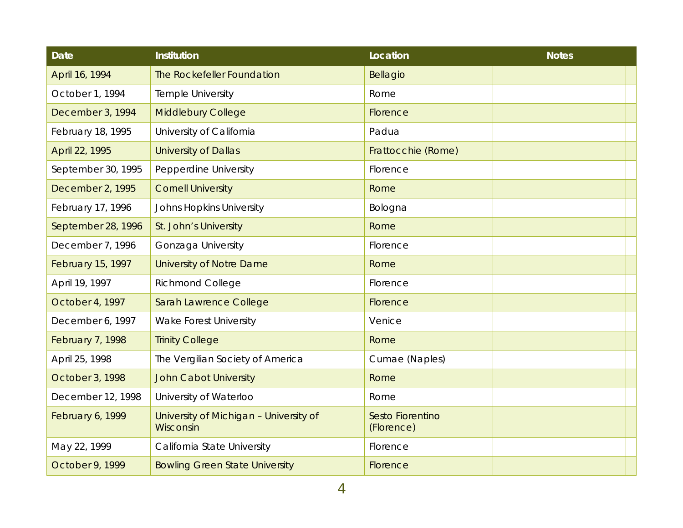| <b>Date</b>              | <b>Institution</b>                                  | Location                       | <b>Notes</b> |
|--------------------------|-----------------------------------------------------|--------------------------------|--------------|
| April 16, 1994           | The Rockefeller Foundation                          | Bellagio                       |              |
| October 1, 1994          | Temple University                                   | Rome                           |              |
| December 3, 1994         | <b>Middlebury College</b>                           | Florence                       |              |
| February 18, 1995        | University of California                            | Padua                          |              |
| April 22, 1995           | <b>University of Dallas</b>                         | Frattocchie (Rome)             |              |
| September 30, 1995       | Pepperdine University                               | Florence                       |              |
| December 2, 1995         | <b>Cornell University</b>                           | Rome                           |              |
| February 17, 1996        | <b>Johns Hopkins University</b>                     | Bologna                        |              |
| September 28, 1996       | St. John's University                               | Rome                           |              |
| December 7, 1996         | Gonzaga University                                  | Florence                       |              |
| <b>February 15, 1997</b> | <b>University of Notre Dame</b>                     | Rome                           |              |
| April 19, 1997           | <b>Richmond College</b>                             | Florence                       |              |
| October 4, 1997          | Sarah Lawrence College                              | Florence                       |              |
| December 6, 1997         | <b>Wake Forest University</b>                       | Venice                         |              |
| February 7, 1998         | <b>Trinity College</b>                              | Rome                           |              |
| April 25, 1998           | The Vergilian Society of America                    | Cumae (Naples)                 |              |
| October 3, 1998          | <b>John Cabot University</b>                        | Rome                           |              |
| December 12, 1998        | University of Waterloo                              | Rome                           |              |
| February 6, 1999         | University of Michigan - University of<br>Wisconsin | Sesto Fiorentino<br>(Florence) |              |
| May 22, 1999             | California State University                         | Florence                       |              |
| October 9, 1999          | <b>Bowling Green State University</b>               | Florence                       |              |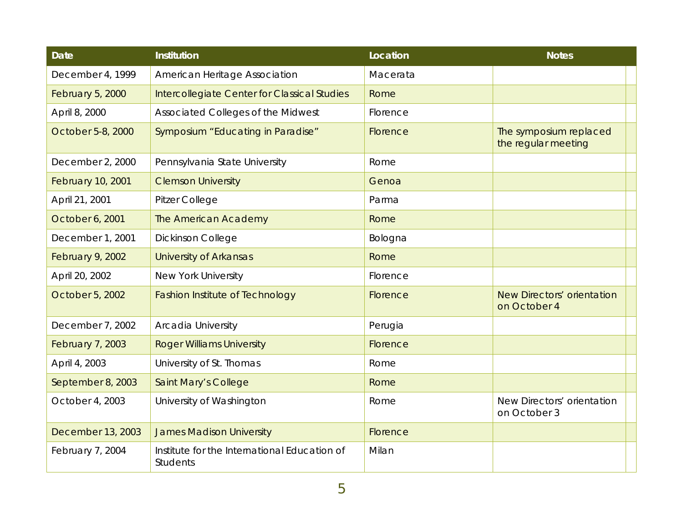| <b>Date</b>              | <b>Institution</b>                                              | Location | <b>Notes</b>                                  |
|--------------------------|-----------------------------------------------------------------|----------|-----------------------------------------------|
| December 4, 1999         | American Heritage Association                                   | Macerata |                                               |
| February 5, 2000         | Intercollegiate Center for Classical Studies                    | Rome     |                                               |
| April 8, 2000            | Associated Colleges of the Midwest                              | Florence |                                               |
| October 5-8, 2000        | Symposium "Educating in Paradise"                               | Florence | The symposium replaced<br>the regular meeting |
| December 2, 2000         | Pennsylvania State University                                   | Rome     |                                               |
| <b>February 10, 2001</b> | <b>Clemson University</b>                                       | Genoa    |                                               |
| April 21, 2001           | Pitzer College                                                  | Parma    |                                               |
| October 6, 2001          | The American Academy                                            | Rome     |                                               |
| December 1, 2001         | <b>Dickinson College</b>                                        | Bologna  |                                               |
| <b>February 9, 2002</b>  | <b>University of Arkansas</b>                                   | Rome     |                                               |
| April 20, 2002           | New York University                                             | Florence |                                               |
| October 5, 2002          | <b>Fashion Institute of Technology</b>                          | Florence | New Directors' orientation<br>on October 4    |
| December 7, 2002         | Arcadia University                                              | Perugia  |                                               |
| <b>February 7, 2003</b>  | <b>Roger Williams University</b>                                | Florence |                                               |
| April 4, 2003            | University of St. Thomas                                        | Rome     |                                               |
| September 8, 2003        | Saint Mary's College                                            | Rome     |                                               |
| October 4, 2003          | University of Washington                                        | Rome     | New Directors' orientation<br>on October 3    |
| December 13, 2003        | <b>James Madison University</b>                                 | Florence |                                               |
| February 7, 2004         | Institute for the International Education of<br><b>Students</b> | Milan    |                                               |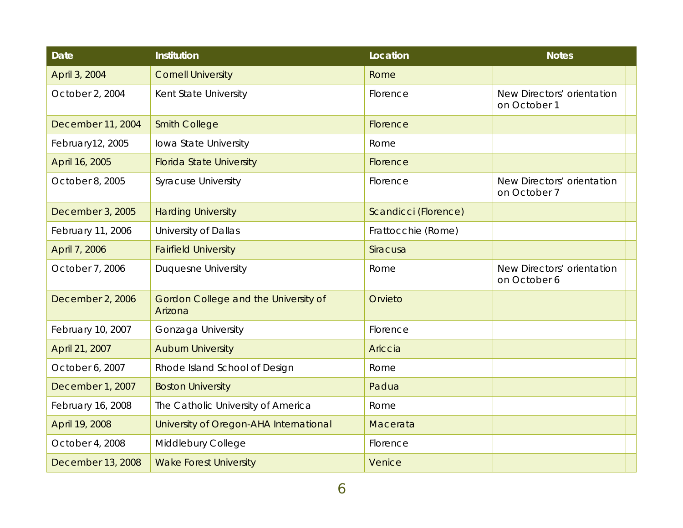| <b>Date</b>       | <b>Institution</b>                              | Location             | <b>Notes</b>                               |
|-------------------|-------------------------------------------------|----------------------|--------------------------------------------|
| April 3, 2004     | <b>Cornell University</b>                       | Rome                 |                                            |
| October 2, 2004   | Kent State University                           | Florence             | New Directors' orientation<br>on October 1 |
| December 11, 2004 | <b>Smith College</b>                            | Florence             |                                            |
| February12, 2005  | Iowa State University                           | Rome                 |                                            |
| April 16, 2005    | <b>Florida State University</b>                 | Florence             |                                            |
| October 8, 2005   | <b>Syracuse University</b>                      | Florence             | New Directors' orientation<br>on October 7 |
| December 3, 2005  | <b>Harding University</b>                       | Scandicci (Florence) |                                            |
| February 11, 2006 | University of Dallas                            | Frattocchie (Rome)   |                                            |
| April 7, 2006     | <b>Fairfield University</b>                     | Siracusa             |                                            |
| October 7, 2006   | <b>Duquesne University</b>                      | Rome                 | New Directors' orientation<br>on October 6 |
| December 2, 2006  | Gordon College and the University of<br>Arizona | Orvieto              |                                            |
| February 10, 2007 | Gonzaga University                              | Florence             |                                            |
| April 21, 2007    | <b>Auburn University</b>                        | Ariccia              |                                            |
| October 6, 2007   | Rhode Island School of Design                   | Rome                 |                                            |
| December 1, 2007  | <b>Boston University</b>                        | Padua                |                                            |
| February 16, 2008 | The Catholic University of America              | Rome                 |                                            |
| April 19, 2008    | University of Oregon-AHA International          | Macerata             |                                            |
| October 4, 2008   | Middlebury College                              | Florence             |                                            |
| December 13, 2008 | <b>Wake Forest University</b>                   | Venice               |                                            |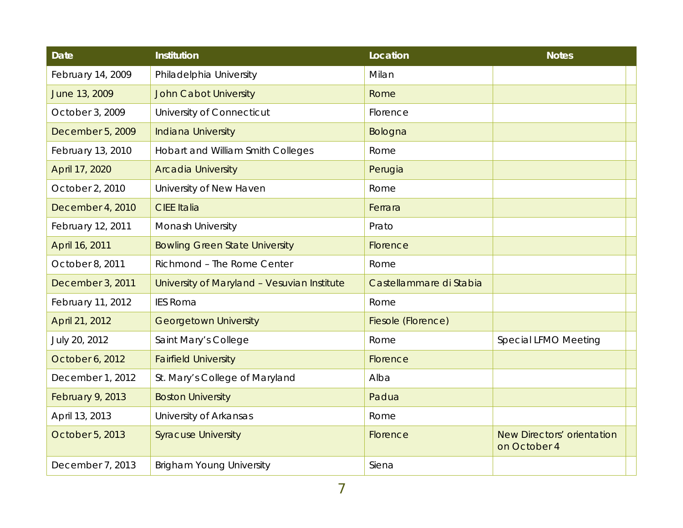| <b>Date</b>       | <b>Institution</b>                          | Location                | <b>Notes</b>                               |
|-------------------|---------------------------------------------|-------------------------|--------------------------------------------|
| February 14, 2009 | Philadelphia University                     | Milan                   |                                            |
| June 13, 2009     | <b>John Cabot University</b>                | Rome                    |                                            |
| October 3, 2009   | University of Connecticut                   | Florence                |                                            |
| December 5, 2009  | <b>Indiana University</b>                   | Bologna                 |                                            |
| February 13, 2010 | Hobart and William Smith Colleges           | Rome                    |                                            |
| April 17, 2020    | <b>Arcadia University</b>                   | Perugia                 |                                            |
| October 2, 2010   | University of New Haven                     | Rome                    |                                            |
| December 4, 2010  | <b>CIEE Italia</b>                          | Ferrara                 |                                            |
| February 12, 2011 | Monash University                           | Prato                   |                                            |
| April 16, 2011    | <b>Bowling Green State University</b>       | Florence                |                                            |
| October 8, 2011   | Richmond - The Rome Center                  | Rome                    |                                            |
| December 3, 2011  | University of Maryland - Vesuvian Institute | Castellammare di Stabia |                                            |
| February 11, 2012 | <b>IES Roma</b>                             | Rome                    |                                            |
| April 21, 2012    | <b>Georgetown University</b>                | Fiesole (Florence)      |                                            |
| July 20, 2012     | Saint Mary's College                        | Rome                    | Special LFMO Meeting                       |
| October 6, 2012   | <b>Fairfield University</b>                 | Florence                |                                            |
| December 1, 2012  | St. Mary's College of Maryland              | Alba                    |                                            |
| February 9, 2013  | <b>Boston University</b>                    | Padua                   |                                            |
| April 13, 2013    | University of Arkansas                      | Rome                    |                                            |
| October 5, 2013   | <b>Syracuse University</b>                  | Florence                | New Directors' orientation<br>on October 4 |
| December 7, 2013  | <b>Brigham Young University</b>             | Siena                   |                                            |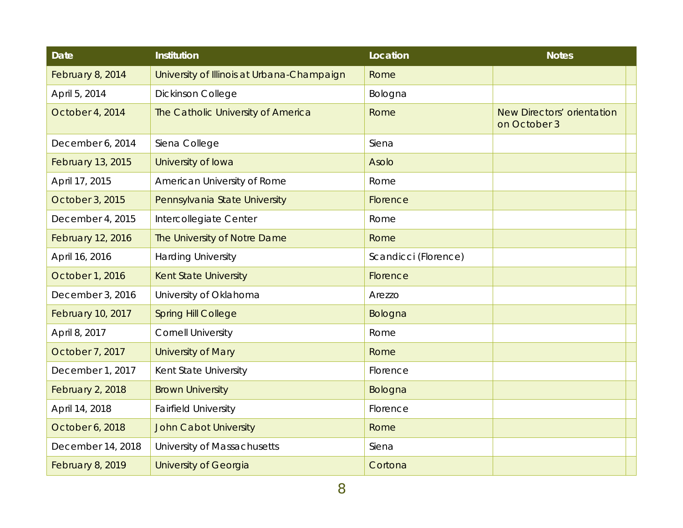| <b>Date</b>              | <b>Institution</b>                         | Location             | <b>Notes</b>                               |
|--------------------------|--------------------------------------------|----------------------|--------------------------------------------|
| February 8, 2014         | University of Illinois at Urbana-Champaign | Rome                 |                                            |
| April 5, 2014            | <b>Dickinson College</b>                   | Bologna              |                                            |
| October 4, 2014          | The Catholic University of America         | Rome                 | New Directors' orientation<br>on October 3 |
| December 6, 2014         | Siena College                              | Siena                |                                            |
| <b>February 13, 2015</b> | University of Iowa                         | <b>Asolo</b>         |                                            |
| April 17, 2015           | American University of Rome                | Rome                 |                                            |
| October 3, 2015          | Pennsylvania State University              | Florence             |                                            |
| December 4, 2015         | Intercollegiate Center                     | Rome                 |                                            |
| <b>February 12, 2016</b> | The University of Notre Dame               | Rome                 |                                            |
| April 16, 2016           | <b>Harding University</b>                  | Scandicci (Florence) |                                            |
| October 1, 2016          | <b>Kent State University</b>               | Florence             |                                            |
| December 3, 2016         | University of Oklahoma                     | Arezzo               |                                            |
| <b>February 10, 2017</b> | <b>Spring Hill College</b>                 | Bologna              |                                            |
| April 8, 2017            | <b>Cornell University</b>                  | Rome                 |                                            |
| October 7, 2017          | <b>University of Mary</b>                  | Rome                 |                                            |
| December 1, 2017         | Kent State University                      | Florence             |                                            |
| February 2, 2018         | <b>Brown University</b>                    | Bologna              |                                            |
| April 14, 2018           | <b>Fairfield University</b>                | Florence             |                                            |
| October 6, 2018          | <b>John Cabot University</b>               | Rome                 |                                            |
| December 14, 2018        | University of Massachusetts                | Siena                |                                            |
| February 8, 2019         | <b>University of Georgia</b>               | Cortona              |                                            |